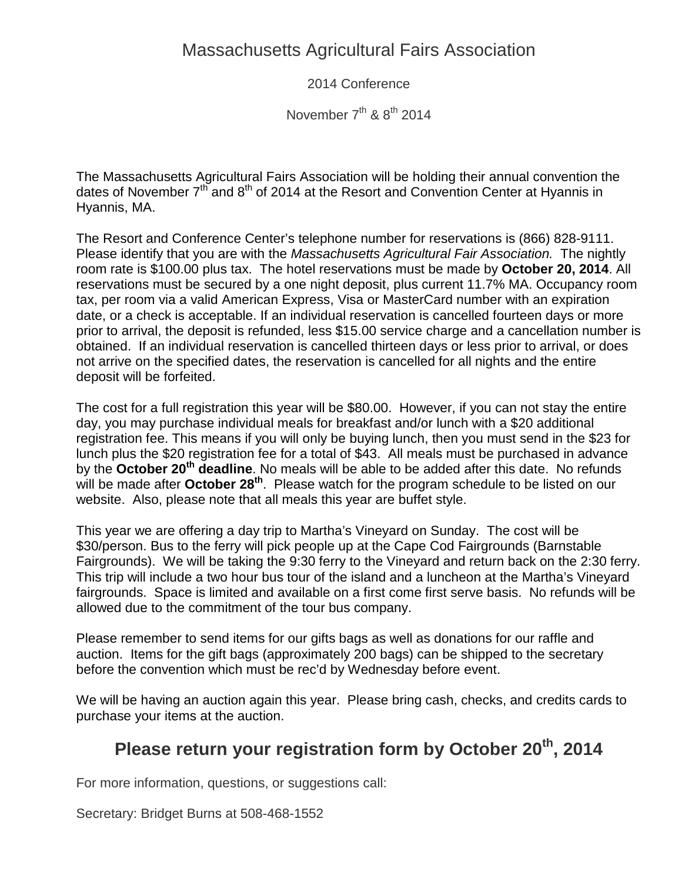2014 Conference

November  $7<sup>th</sup>$  &  $8<sup>th</sup>$  2014

The Massachusetts Agricultural Fairs Association will be holding their annual convention the dates of November  $7<sup>th</sup>$  and  $8<sup>th</sup>$  of 2014 at the Resort and Convention Center at Hyannis in Hyannis, MA.

The Resort and Conference Center's telephone number for reservations is (866) 828-9111. Please identify that you are with the *Massachusetts Agricultural Fair Association.* The nightly room rate is \$100.00 plus tax. The hotel reservations must be made by **October 20, 2014**. All reservations must be secured by a one night deposit, plus current 11.7% MA. Occupancy room tax, per room via a valid American Express, Visa or MasterCard number with an expiration date, or a check is acceptable. If an individual reservation is cancelled fourteen days or more prior to arrival, the deposit is refunded, less \$15.00 service charge and a cancellation number is obtained. If an individual reservation is cancelled thirteen days or less prior to arrival, or does not arrive on the specified dates, the reservation is cancelled for all nights and the entire deposit will be forfeited.

The cost for a full registration this year will be \$80.00. However, if you can not stay the entire day, you may purchase individual meals for breakfast and/or lunch with a \$20 additional registration fee. This means if you will only be buying lunch, then you must send in the \$23 for lunch plus the \$20 registration fee for a total of \$43. All meals must be purchased in advance by the **October 20th deadline**. No meals will be able to be added after this date. No refunds will be made after **October 28th**. Please watch for the program schedule to be listed on our website. Also, please note that all meals this year are buffet style.

This year we are offering a day trip to Martha's Vineyard on Sunday. The cost will be \$30/person. Bus to the ferry will pick people up at the Cape Cod Fairgrounds (Barnstable Fairgrounds). We will be taking the 9:30 ferry to the Vineyard and return back on the 2:30 ferry. This trip will include a two hour bus tour of the island and a luncheon at the Martha's Vineyard fairgrounds. Space is limited and available on a first come first serve basis. No refunds will be allowed due to the commitment of the tour bus company.

Please remember to send items for our gifts bags as well as donations for our raffle and auction. Items for the gift bags (approximately 200 bags) can be shipped to the secretary before the convention which must be rec'd by Wednesday before event.

We will be having an auction again this year. Please bring cash, checks, and credits cards to purchase your items at the auction.

# **Please return your registration form by October 20th, 2014**

For more information, questions, or suggestions call:

Secretary: Bridget Burns at 508-468-1552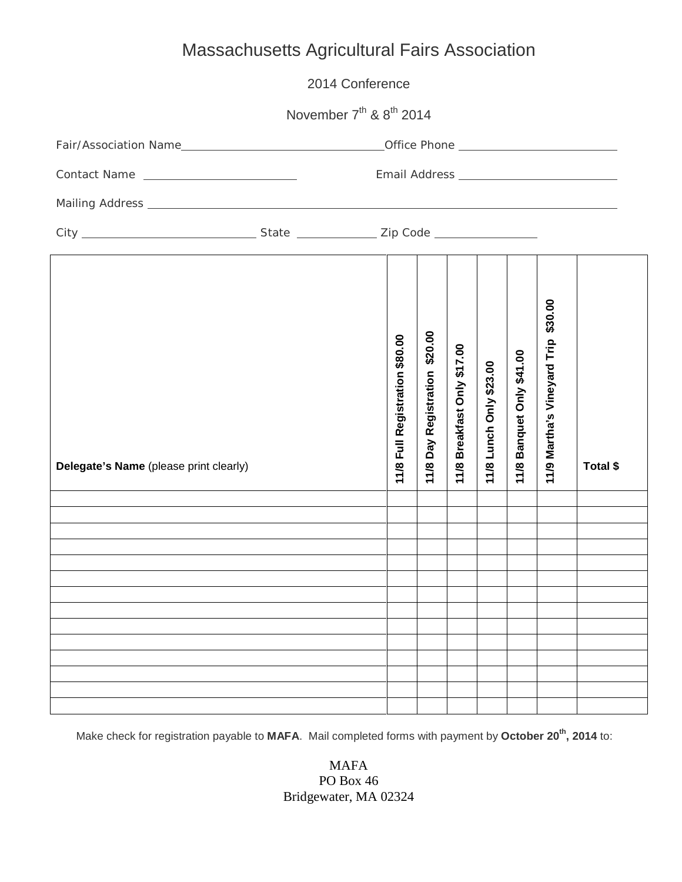| 2014 Conference                                                                                                  |  |                                |                                     |                                |                            |                              |                                     |          |
|------------------------------------------------------------------------------------------------------------------|--|--------------------------------|-------------------------------------|--------------------------------|----------------------------|------------------------------|-------------------------------------|----------|
| November 7 <sup>th</sup> & 8 <sup>th</sup> 2014                                                                  |  |                                |                                     |                                |                            |                              |                                     |          |
|                                                                                                                  |  |                                |                                     |                                |                            |                              |                                     |          |
| Contact Name                                                                                                     |  |                                |                                     |                                |                            |                              |                                     |          |
|                                                                                                                  |  |                                |                                     |                                |                            |                              |                                     |          |
|                                                                                                                  |  |                                |                                     |                                |                            |                              |                                     |          |
| Delegate's Name (please print clearly)                                                                           |  | 11/8 Full Registration \$80.00 | \$20.00<br>Day Registration<br>11/8 | Breakfast Only \$17.00<br>11/8 | Lunch Only \$23.00<br>11/8 | Banquet Only \$41.00<br>11/8 | 11/9 Martha's Vineyard Trip \$30.00 | Total \$ |
| and the control of the control of the control of the control of the control of the control of the control of the |  |                                |                                     |                                |                            |                              |                                     |          |
|                                                                                                                  |  |                                |                                     |                                |                            |                              |                                     |          |
|                                                                                                                  |  |                                |                                     |                                |                            |                              |                                     |          |
|                                                                                                                  |  |                                |                                     |                                |                            |                              |                                     |          |
|                                                                                                                  |  |                                |                                     |                                |                            |                              |                                     |          |
|                                                                                                                  |  |                                |                                     |                                |                            |                              |                                     |          |
|                                                                                                                  |  |                                |                                     |                                |                            |                              |                                     |          |
|                                                                                                                  |  |                                |                                     |                                |                            |                              |                                     |          |
|                                                                                                                  |  |                                |                                     |                                |                            |                              |                                     |          |
|                                                                                                                  |  |                                |                                     |                                |                            |                              |                                     |          |

Make check for registration payable to MAFA. Mail completed forms with payment by October 20<sup>th</sup>, 2014 to:

MAFA PO Box 46 Bridgewater, MA 02324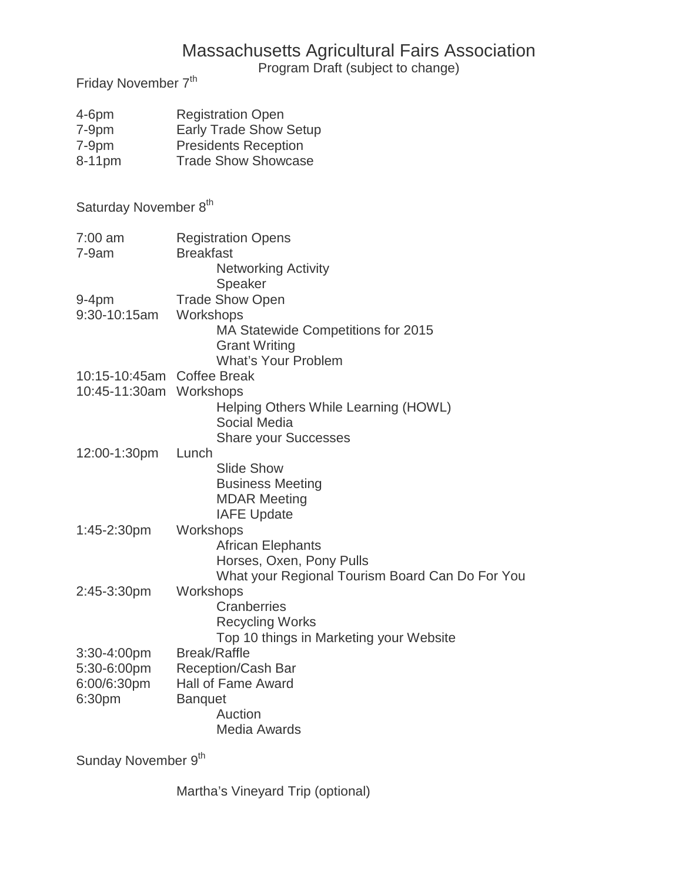Program Draft (subject to change)

Friday November 7<sup>th</sup>

| $4-6$ pm<br>$7-9$ pm<br>7-9pm<br>8-11pm               | <b>Registration Open</b><br><b>Early Trade Show Setup</b><br><b>Presidents Reception</b><br><b>Trade Show Showcase</b>            |
|-------------------------------------------------------|-----------------------------------------------------------------------------------------------------------------------------------|
| Saturday November 8th                                 |                                                                                                                                   |
| $7:00$ am<br>$7-9am$                                  | <b>Registration Opens</b><br><b>Breakfast</b><br><b>Networking Activity</b><br>Speaker                                            |
| $9-4pm$<br>9:30-10:15am                               | <b>Trade Show Open</b><br>Workshops<br>MA Statewide Competitions for 2015<br><b>Grant Writing</b><br><b>What's Your Problem</b>   |
| 10:15-10:45am Coffee Break<br>10:45-11:30am Workshops | Helping Others While Learning (HOWL)<br>Social Media<br><b>Share your Successes</b>                                               |
| 12:00-1:30pm                                          | Lunch<br><b>Slide Show</b><br><b>Business Meeting</b><br><b>MDAR Meeting</b><br><b>IAFE Update</b>                                |
| 1:45-2:30pm                                           | Workshops<br><b>African Elephants</b><br>Horses, Oxen, Pony Pulls<br>What your Regional Tourism Board Can Do For You              |
| 2:45-3:30pm                                           | Workshops<br>Cranberries<br><b>Recycling Works</b><br>Top 10 things in Marketing your Website                                     |
| 3:30-4:00pm<br>5:30-6:00pm<br>6:00/6:30pm<br>6:30pm   | <b>Break/Raffle</b><br><b>Reception/Cash Bar</b><br><b>Hall of Fame Award</b><br><b>Banquet</b><br>Auction<br><b>Media Awards</b> |

Sunday November 9<sup>th</sup>

Martha's Vineyard Trip (optional)